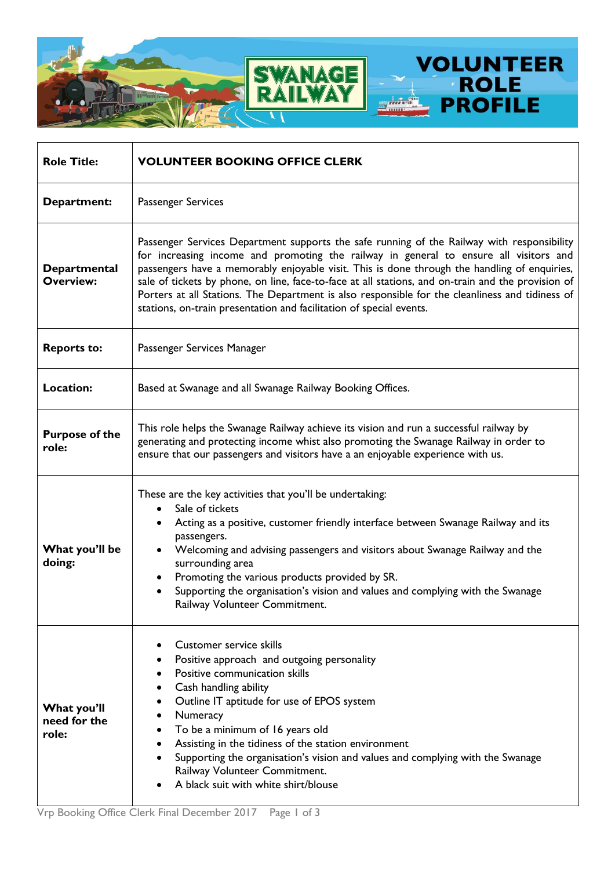

| <b>Role Title:</b>                   | <b>VOLUNTEER BOOKING OFFICE CLERK</b>                                                                                                                                                                                                                                                                                                                                                                                                                                                                                                                               |
|--------------------------------------|---------------------------------------------------------------------------------------------------------------------------------------------------------------------------------------------------------------------------------------------------------------------------------------------------------------------------------------------------------------------------------------------------------------------------------------------------------------------------------------------------------------------------------------------------------------------|
| Department:                          | Passenger Services                                                                                                                                                                                                                                                                                                                                                                                                                                                                                                                                                  |
| Departmental<br><b>Overview:</b>     | Passenger Services Department supports the safe running of the Railway with responsibility<br>for increasing income and promoting the railway in general to ensure all visitors and<br>passengers have a memorably enjoyable visit. This is done through the handling of enquiries,<br>sale of tickets by phone, on line, face-to-face at all stations, and on-train and the provision of<br>Porters at all Stations. The Department is also responsible for the cleanliness and tidiness of<br>stations, on-train presentation and facilitation of special events. |
| <b>Reports to:</b>                   | Passenger Services Manager                                                                                                                                                                                                                                                                                                                                                                                                                                                                                                                                          |
| Location:                            | Based at Swanage and all Swanage Railway Booking Offices.                                                                                                                                                                                                                                                                                                                                                                                                                                                                                                           |
| <b>Purpose of the</b><br>role:       | This role helps the Swanage Railway achieve its vision and run a successful railway by<br>generating and protecting income whist also promoting the Swanage Railway in order to<br>ensure that our passengers and visitors have a an enjoyable experience with us.                                                                                                                                                                                                                                                                                                  |
| What you'll be<br>doing:             | These are the key activities that you'll be undertaking:<br>Sale of tickets<br>$\bullet$<br>Acting as a positive, customer friendly interface between Swanage Railway and its<br>passengers.<br>Welcoming and advising passengers and visitors about Swanage Railway and the<br>٠<br>surrounding area<br>Promoting the various products provided by SR.<br>$\bullet$<br>Supporting the organisation's vision and values and complying with the Swanage<br>$\bullet$<br>Railway Volunteer Commitment.                                                                |
| What you'll<br>need for the<br>role: | <b>Customer service skills</b><br>٠<br>Positive approach and outgoing personality<br>Positive communication skills<br>Cash handling ability<br>Outline IT aptitude for use of EPOS system<br>٠<br>Numeracy<br>٠<br>To be a minimum of 16 years old<br>٠<br>Assisting in the tidiness of the station environment<br>Supporting the organisation's vision and values and complying with the Swanage<br>Railway Volunteer Commitment.<br>A black suit with white shirt/blouse                                                                                          |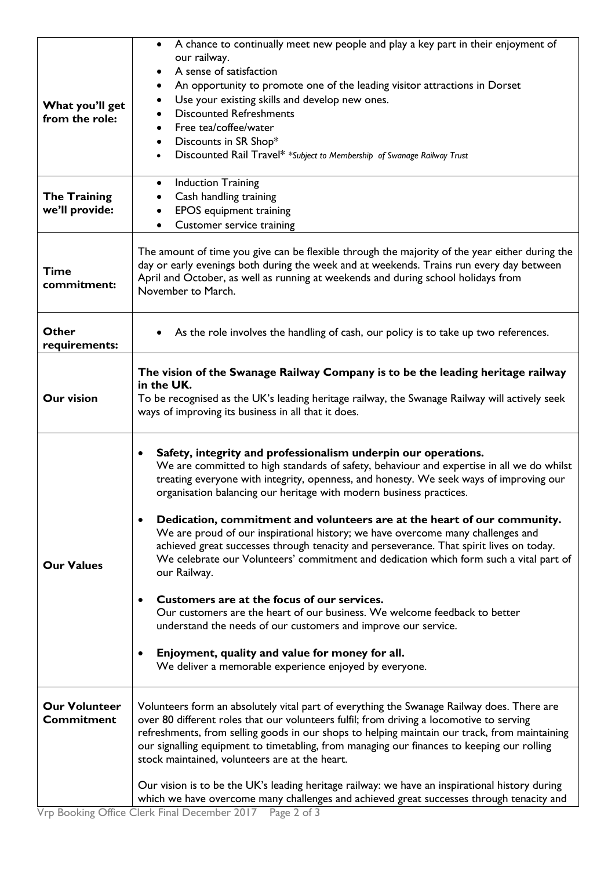| What you'll get<br>from the role:         | A chance to continually meet new people and play a key part in their enjoyment of<br>$\bullet$<br>our railway.<br>A sense of satisfaction<br>An opportunity to promote one of the leading visitor attractions in Dorset<br>Use your existing skills and develop new ones.<br>٠<br><b>Discounted Refreshments</b><br>Free tea/coffee/water<br>٠<br>Discounts in SR Shop*<br>Discounted Rail Travel* *Subject to Membership of Swanage Railway Trust                                                                                                                                                                                                                                                                                                                                                                                                                                                                                                                                                                |
|-------------------------------------------|-------------------------------------------------------------------------------------------------------------------------------------------------------------------------------------------------------------------------------------------------------------------------------------------------------------------------------------------------------------------------------------------------------------------------------------------------------------------------------------------------------------------------------------------------------------------------------------------------------------------------------------------------------------------------------------------------------------------------------------------------------------------------------------------------------------------------------------------------------------------------------------------------------------------------------------------------------------------------------------------------------------------|
| <b>The Training</b><br>we'll provide:     | <b>Induction Training</b><br>$\bullet$<br>Cash handling training<br><b>EPOS</b> equipment training<br>Customer service training                                                                                                                                                                                                                                                                                                                                                                                                                                                                                                                                                                                                                                                                                                                                                                                                                                                                                   |
| <b>Time</b><br>commitment:                | The amount of time you give can be flexible through the majority of the year either during the<br>day or early evenings both during the week and at weekends. Trains run every day between<br>April and October, as well as running at weekends and during school holidays from<br>November to March.                                                                                                                                                                                                                                                                                                                                                                                                                                                                                                                                                                                                                                                                                                             |
| Other<br>requirements:                    | As the role involves the handling of cash, our policy is to take up two references.                                                                                                                                                                                                                                                                                                                                                                                                                                                                                                                                                                                                                                                                                                                                                                                                                                                                                                                               |
| <b>Our vision</b>                         | The vision of the Swanage Railway Company is to be the leading heritage railway<br>in the UK.<br>To be recognised as the UK's leading heritage railway, the Swanage Railway will actively seek<br>ways of improving its business in all that it does.                                                                                                                                                                                                                                                                                                                                                                                                                                                                                                                                                                                                                                                                                                                                                             |
| <b>Our Values</b>                         | Safety, integrity and professionalism underpin our operations.<br>٠<br>We are committed to high standards of safety, behaviour and expertise in all we do whilst<br>treating everyone with integrity, openness, and honesty. We seek ways of improving our<br>organisation balancing our heritage with modern business practices.<br>Dedication, commitment and volunteers are at the heart of our community.<br>We are proud of our inspirational history; we have overcome many challenges and<br>achieved great successes through tenacity and perseverance. That spirit lives on today.<br>We celebrate our Volunteers' commitment and dedication which form such a vital part of<br>our Railway.<br>Customers are at the focus of our services.<br>Our customers are the heart of our business. We welcome feedback to better<br>understand the needs of our customers and improve our service.<br>Enjoyment, quality and value for money for all.<br>We deliver a memorable experience enjoyed by everyone. |
| <b>Our Volunteer</b><br><b>Commitment</b> | Volunteers form an absolutely vital part of everything the Swanage Railway does. There are<br>over 80 different roles that our volunteers fulfil; from driving a locomotive to serving<br>refreshments, from selling goods in our shops to helping maintain our track, from maintaining<br>our signalling equipment to timetabling, from managing our finances to keeping our rolling<br>stock maintained, volunteers are at the heart.<br>Our vision is to be the UK's leading heritage railway: we have an inspirational history during<br>which we have overcome many challenges and achieved great successes through tenacity and                                                                                                                                                                                                                                                                                                                                                                             |